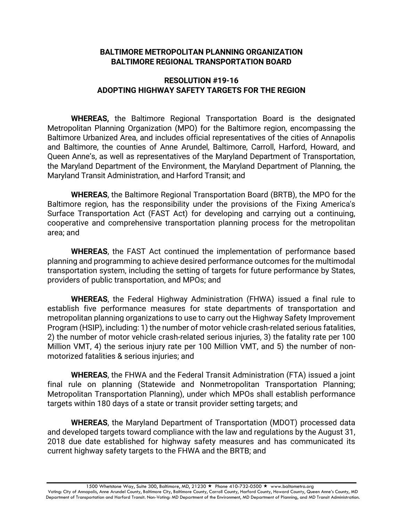## **BALTIMORE METROPOLITAN PLANNING ORGANIZATION BALTIMORE REGIONAL TRANSPORTATION BOARD**

## **RESOLUTION #19-16 ADOPTING HIGHWAY SAFETY TARGETS FOR THE REGION**

**WHEREAS,** the Baltimore Regional Transportation Board is the designated Metropolitan Planning Organization (MPO) for the Baltimore region, encompassing the Baltimore Urbanized Area, and includes official representatives of the cities of Annapolis and Baltimore, the counties of Anne Arundel, Baltimore, Carroll, Harford, Howard, and Queen Anne's, as well as representatives of the Maryland Department of Transportation, the Maryland Department of the Environment, the Maryland Department of Planning, the Maryland Transit Administration, and Harford Transit; and

**WHEREAS**, the Baltimore Regional Transportation Board (BRTB), the MPO for the Baltimore region, has the responsibility under the provisions of the Fixing America's Surface Transportation Act (FAST Act) for developing and carrying out a continuing, cooperative and comprehensive transportation planning process for the metropolitan area; and

**WHEREAS**, the FAST Act continued the implementation of performance based planning and programming to achieve desired performance outcomes for the multimodal transportation system, including the setting of targets for future performance by States, providers of public transportation, and MPOs; and

**WHEREAS**, the Federal Highway Administration (FHWA) issued a final rule to establish five performance measures for state departments of transportation and metropolitan planning organizations to use to carry out the Highway Safety Improvement Program (HSIP), including: 1) the number of motor vehicle crash-related serious fatalities, 2) the number of motor vehicle crash-related serious injuries, 3) the fatality rate per 100 Million VMT, 4) the serious injury rate per 100 Million VMT, and 5) the number of nonmotorized fatalities & serious injuries; and

**WHEREAS**, the FHWA and the Federal Transit Administration (FTA) issued a joint final rule on planning (Statewide and Nonmetropolitan Transportation Planning; Metropolitan Transportation Planning), under which MPOs shall establish performance targets within 180 days of a state or transit provider setting targets; and

**WHEREAS**, the Maryland Department of Transportation (MDOT) processed data and developed targets toward compliance with the law and regulations by the August 31, 2018 due date established for highway safety measures and has communicated its current highway safety targets to the FHWA and the BRTB; and

1500 Whetstone Way, Suite 300, Baltimore, MD, 21230 ★ Phone 410-732-0500 ★ www.baltometro.org

Voting: City of Annapolis, Anne Arundel County, Baltimore City, Baltimore County, Carroll County, Harford County, Howard County, Queen Anne's County, MD Department of Transportation and Harford Transit. Non-Voting: MD Department of the Environment, MD Department of Planning, and MD Transit Administration.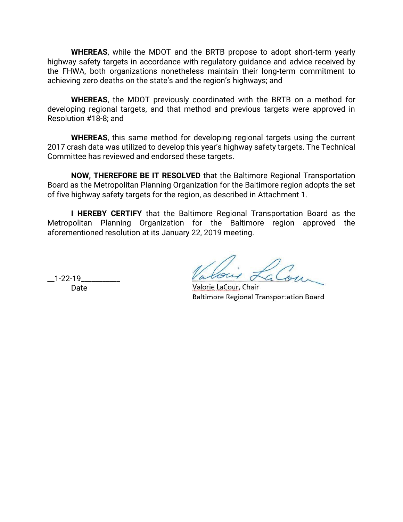**WHEREAS**, while the MDOT and the BRTB propose to adopt short-term yearly highway safety targets in accordance with regulatory guidance and advice received by the FHWA, both organizations nonetheless maintain their long-term commitment to achieving zero deaths on the state's and the region's highways; and

**WHEREAS**, the MDOT previously coordinated with the BRTB on a method for developing regional targets, and that method and previous targets were approved in Resolution #18-8; and

**WHEREAS**, this same method for developing regional targets using the current 2017 crash data was utilized to develop this year's highway safety targets. The Technical Committee has reviewed and endorsed these targets.

**NOW, THEREFORE BE IT RESOLVED** that the Baltimore Regional Transportation Board as the Metropolitan Planning Organization for the Baltimore region adopts the set of five highway safety targets for the region, as described in Attachment 1.

**I HEREBY CERTIFY** that the Baltimore Regional Transportation Board as the Metropolitan Planning Organization for the Baltimore region approved the aforementioned resolution at its January 22, 2019 meeting.

Date

 $1 - 22 - 19$  about  $\Delta\omega$ 

**Baltimore Regional Transportation Board**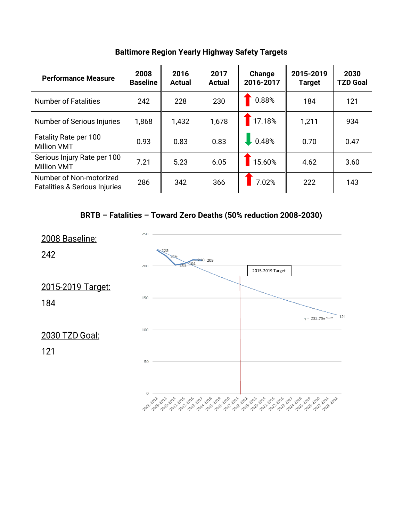**Baltimore Region Yearly Highway Safety Targets**

| <b>Performance Measure</b>                                          | 2008<br><b>Baseline</b> | 2016<br><b>Actual</b> | 2017<br><b>Actual</b> | Change<br>2016-2017 | 2015-2019<br><b>Target</b> | 2030<br><b>TZD Goal</b> |
|---------------------------------------------------------------------|-------------------------|-----------------------|-----------------------|---------------------|----------------------------|-------------------------|
| <b>Number of Fatalities</b>                                         | 242                     | 228                   | 230                   | 0.88%               | 184                        | 121                     |
| Number of Serious Injuries                                          | 1,868                   | 1,432                 | 1,678                 | 17.18%              | 1,211                      | 934                     |
| Fatality Rate per 100<br><b>Million VMT</b>                         | 0.93                    | 0.83                  | 0.83                  | 0.48%               | 0.70                       | 0.47                    |
| Serious Injury Rate per 100<br><b>Million VMT</b>                   | 7.21                    | 5.23                  | 6.05                  | 15.60%              | 4.62                       | 3.60                    |
| Number of Non-motorized<br><b>Fatalities &amp; Serious Injuries</b> | 286                     | 342                   | 366                   | 7.02%               | 222                        | 143                     |



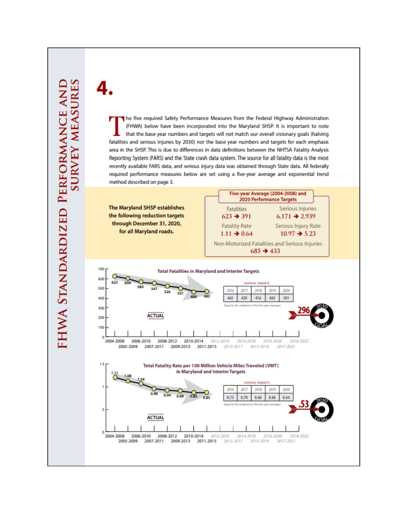2004-2008

2006-2010

2008-2012

2010-2014

he five required Safety Performance Measures from the Federal Highway Administration (FHWA) below have been incorporated into the Maryland SHSP. It is important to note that the base year numbers and targets will not match our overall visionary goals (halving fatalities and serious injuries by 2030) nor the base year numbers and targets for each emphasis area in the SHSP. This is due to differences in data definitions between the NHTSA Fatality Analysis Reporting System (FARS) and the State crash data system. The source for all fatality data is the most recently available FARS data, and serious injury data was obtained through State data. All federally required performance measures below are set using a five-year average and exponential trend method described on page 3.





2012-2016

2014-2018

2016-2020

2018-2022